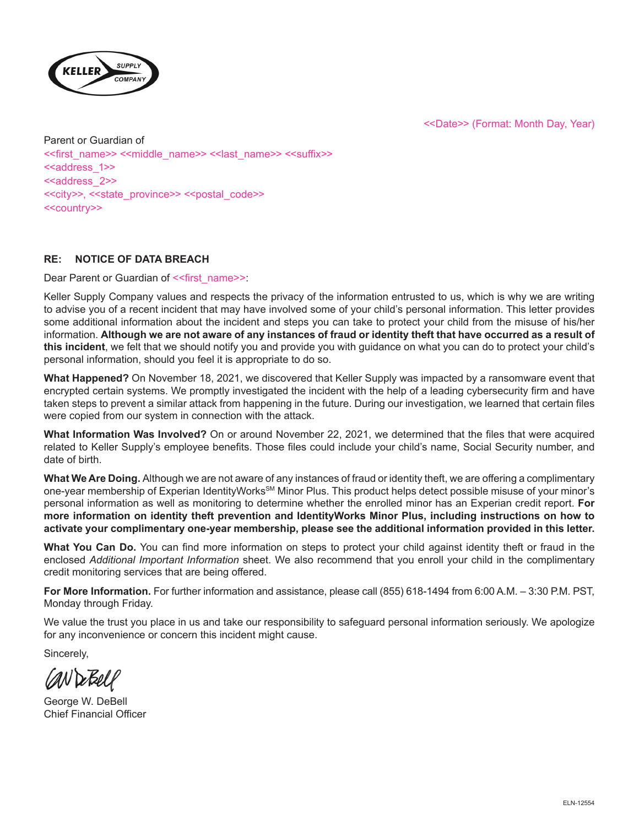<<Date>> (Format: Month Day, Year)



Parent or Guardian of <<first\_name>> <<middle\_name>> <<last\_name>> <<suffix>> <<aaddress\_1>> <<address\_2>> <<city>>, <<state\_province>> <<postal\_code>> <<country>>

# **RE: NOTICE OF DATA BREACH**

Dear Parent or Guardian of <<first\_name>>:

Keller Supply Company values and respects the privacy of the information entrusted to us, which is why we are writing to advise you of a recent incident that may have involved some of your child's personal information. This letter provides some additional information about the incident and steps you can take to protect your child from the misuse of his/her information. **Although we are not aware of any instances of fraud or identity theft that have occurred as a result of this incident**, we felt that we should notify you and provide you with guidance on what you can do to protect your child's personal information, should you feel it is appropriate to do so.

**What Happened?** On November 18, 2021, we discovered that Keller Supply was impacted by a ransomware event that encrypted certain systems. We promptly investigated the incident with the help of a leading cybersecurity firm and have taken steps to prevent a similar attack from happening in the future. During our investigation, we learned that certain files were copied from our system in connection with the attack.

**What Information Was Involved?** On or around November 22, 2021, we determined that the files that were acquired related to Keller Supply's employee benefits. Those files could include your child's name, Social Security number, and date of birth.

**What We Are Doing.** Although we are not aware of any instances of fraud or identity theft, we are offering a complimentary one-year membership of Experian IdentityWorks<sup>≤M</sup> Minor Plus. This product helps detect possible misuse of your minor's personal information as well as monitoring to determine whether the enrolled minor has an Experian credit report. **For more information on identity theft prevention and IdentityWorks Minor Plus, including instructions on how to activate your complimentary one-year membership, please see the additional information provided in this letter.**

**What You Can Do.** You can find more information on steps to protect your child against identity theft or fraud in the enclosed *Additional Important Information* sheet. We also recommend that you enroll your child in the complimentary credit monitoring services that are being offered.

**For More Information.** For further information and assistance, please call (855) 618-1494 from 6:00 A.M. – 3:30 P.M. PST, Monday through Friday.

We value the trust you place in us and take our responsibility to safeguard personal information seriously. We apologize for any inconvenience or concern this incident might cause.

Sincerely,

CAN De Bell

George W. DeBell Chief Financial Officer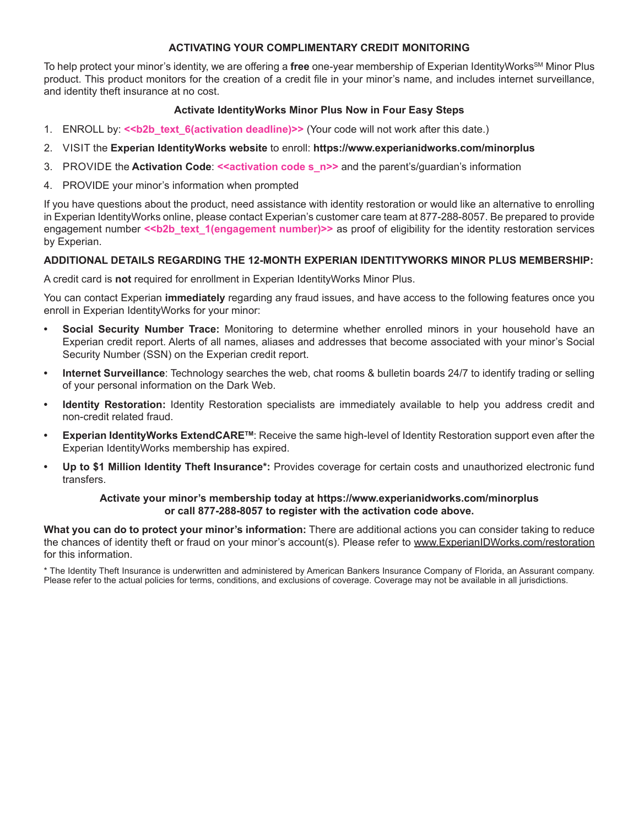## **ACTIVATING YOUR COMPLIMENTARY CREDIT MONITORING**

To help protect your minor's identity, we are offering a free one-year membership of Experian IdentityWorks<sup>sM</sup> Minor Plus product. This product monitors for the creation of a credit file in your minor's name, and includes internet surveillance, and identity theft insurance at no cost.

### **Activate IdentityWorks Minor Plus Now in Four Easy Steps**

- 1. ENROLL by:  $\le b2b$  text 6(activation deadline)>> (Your code will not work after this date.)
- 2. VISIT the **Experian IdentityWorks website** to enroll: **https://www.experianidworks.com/minorplus**
- 3. PROVIDE the **Activation Code**: **<<activation code s\_n>>** and the parent's/guardian's information
- 4. PROVIDE your minor's information when prompted

If you have questions about the product, need assistance with identity restoration or would like an alternative to enrolling in Experian IdentityWorks online, please contact Experian's customer care team at 877-288-8057. Be prepared to provide engagement number <<br />b2b\_text\_1(engagement number)>> as proof of eligibility for the identity restoration services by Experian.

### **ADDITIONAL DETAILS REGARDING THE 12-MONTH EXPERIAN IDENTITYWORKS MINOR PLUS MEMBERSHIP:**

A credit card is **not** required for enrollment in Experian IdentityWorks Minor Plus.

You can contact Experian **immediately** regarding any fraud issues, and have access to the following features once you enroll in Experian IdentityWorks for your minor:

- **• Social Security Number Trace:** Monitoring to determine whether enrolled minors in your household have an Experian credit report. Alerts of all names, aliases and addresses that become associated with your minor's Social Security Number (SSN) on the Experian credit report.
- **• Internet Surveillance**: Technology searches the web, chat rooms & bulletin boards 24/7 to identify trading or selling of your personal information on the Dark Web.
- **• Identity Restoration:** Identity Restoration specialists are immediately available to help you address credit and non-credit related fraud.
- **• Experian IdentityWorks ExtendCARETM**: Receive the same high-level of Identity Restoration support even after the Experian IdentityWorks membership has expired.
- **• Up to \$1 Million Identity Theft Insurance\*:** Provides coverage for certain costs and unauthorized electronic fund transfers.

#### **Activate your minor's membership today at https://www.experianidworks.com/minorplus or call 877-288-8057 to register with the activation code above.**

**What you can do to protect your minor's information:** There are additional actions you can consider taking to reduce the chances of identity theft or fraud on your minor's account(s). Please refer to www.ExperianIDWorks.com/restoration for this information.

\* The Identity Theft Insurance is underwritten and administered by American Bankers Insurance Company of Florida, an Assurant company. Please refer to the actual policies for terms, conditions, and exclusions of coverage. Coverage may not be available in all jurisdictions.